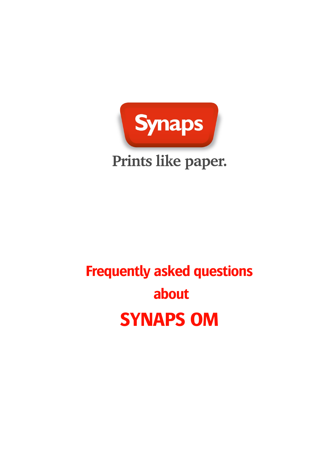

# **Frequently asked questions about SYNAPS OM**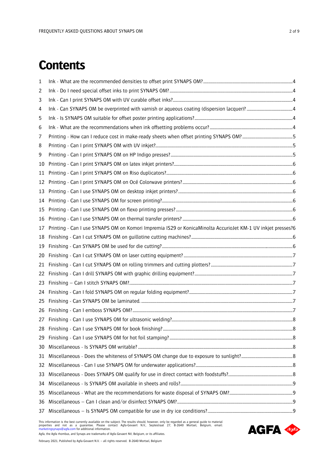# **Contents**

| 1  |                                                                                                             |  |
|----|-------------------------------------------------------------------------------------------------------------|--|
| 2  |                                                                                                             |  |
| 3  |                                                                                                             |  |
| 4  |                                                                                                             |  |
| 5  |                                                                                                             |  |
| 6  |                                                                                                             |  |
| 7  |                                                                                                             |  |
| 8  |                                                                                                             |  |
| 9  |                                                                                                             |  |
| 10 |                                                                                                             |  |
| 11 |                                                                                                             |  |
| 12 |                                                                                                             |  |
| 13 |                                                                                                             |  |
| 14 |                                                                                                             |  |
| 15 |                                                                                                             |  |
| 16 |                                                                                                             |  |
| 17 | Printing - Can I use SYNAPS OM on Komori Impremia IS29 or KonicaMinolta AccurioJet KM-1 UV inkjet presses?6 |  |
| 18 |                                                                                                             |  |
| 19 |                                                                                                             |  |
| 20 |                                                                                                             |  |
| 21 |                                                                                                             |  |
| 22 |                                                                                                             |  |
| 23 |                                                                                                             |  |
| 24 |                                                                                                             |  |
| 25 |                                                                                                             |  |
| 26 |                                                                                                             |  |
|    |                                                                                                             |  |
| 28 |                                                                                                             |  |
| 29 |                                                                                                             |  |
| 30 |                                                                                                             |  |
| 31 |                                                                                                             |  |
| 32 |                                                                                                             |  |
| 33 |                                                                                                             |  |
| 34 |                                                                                                             |  |
| 35 |                                                                                                             |  |
| 36 |                                                                                                             |  |
| 37 |                                                                                                             |  |

This information is the best currently available on the subject. The results should, however, only be regarded as a general guide to material<br>properties and not as a guarantee. Please contact Agfa-Gevaert N.V., Septestraat Agfa, the Agfa rhombus, and Synaps are trademarks of Agfa-Gevaert NV, Belgium, or its affiliates.

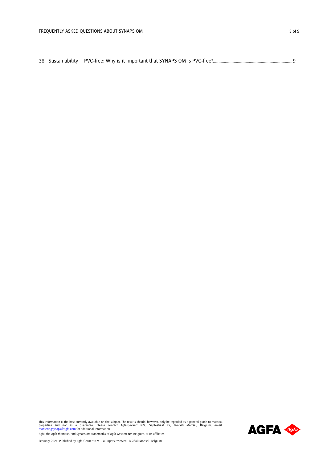This information is the best currently available on the subject. The results should, however, only be regarded as a general guide to material<br>properties and not as a guarantee. Please contact Agfa-Gevaert N.V., Septestraat

Agfa, the Agfa rhombus, and Synaps are trademarks of Agfa-Gevaert NV, Belgium, or its affiliates.

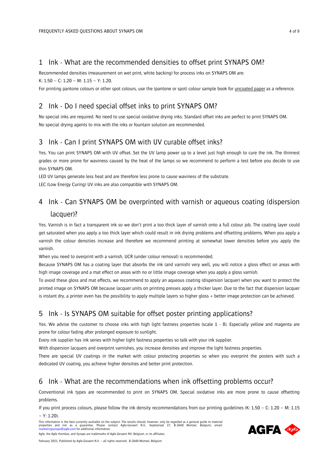#### <span id="page-3-0"></span>1 Ink - What are the recommended densities to offset print SYNAPS OM?

Recommended densities (measurement on wet print, white backing) for process inks on SYNAPS OM are: K: 1.50 – C: 1.20 – M: 1.15 – Y: 1.20.

For printing pantone colours or other spot colours, use the (pantone or spot) colour sample book for uncoated paper as a reference.

## <span id="page-3-1"></span>2 Ink - Do I need special offset inks to print SYNAPS OM?

No special inks are required. No need to use special oxidative drying inks. Standard offset inks are perfect to print SYNAPS OM. No special drying agents to mix with the inks or fountain solution are recommended.

#### <span id="page-3-2"></span>3 Ink - Can I print SYNAPS OM with UV curable offset inks?

Yes. You can print SYNAPS OM with UV offset. Set the UV lamp power up to a level just high enough to cure the ink. The thinnest grades or more prone for waviness caused by the heat of the lamps so we recommend to perform a test before you decide to use thin SYNAPS OM.

LED UV lamps generate less heat and are therefore less prone to cause waviness of the substrate.

LEC (Low Energy Curing) UV inks are also compatible with SYNAPS OM.

# <span id="page-3-3"></span>4 Ink - Can SYNAPS OM be overprinted with varnish or aqueous coating (dispersion lacquer)?

Yes. Varnish is in fact a transparent ink so we don't print a too thick layer of varnish onto a full colour job. The coating layer could get saturated when you apply a too thick layer which could result in ink drying problems and offsetting problems. When you apply a varnish the colour densities increase and therefore we recommend printing at somewhat lower densities before you apply the varnish.

When you need to overprint with a varnish, UCR (under colour removal) is recommended.

Because SYNAPS OM has a coating layer that absorbs the ink (and varnish) very well, you will notice a gloss effect on areas with high image coverage and a mat effect on areas with no or little image coverage when you apply a gloss varnish.

To avoid these gloss and mat effects, we recommend to apply an aqueous coating (dispersion lacquer) when you want to protect the printed image on SYNAPS OM because lacquer units on printing presses apply a thicker layer. Due to the fact that dispersion lacquer is instant dry, a printer even has the possibility to apply multiple layers so higher gloss + better image protection can be achieved.

# <span id="page-3-4"></span>5 Ink - Is SYNAPS OM suitable for offset poster printing applications?

Yes. We advise the customer to choose inks with high light fastness properties (scale 1 - 8). Especially yellow and magenta are prone for colour fading after prolonged exposure to sunlight.

Every ink supplier has ink series with higher light fastness properties so talk with your ink supplier.

With dispersion lacquers and overprint varnishes, you increase densities and improve the light fastness properties.

There are special UV coatings in the market with colour protecting properties so when you overprint the posters with such a dedicated UV coating, you achieve higher densities and better print protection.

#### <span id="page-3-5"></span>6 Ink - What are the recommendations when ink offsetting problems occur?

Conventional ink types are recommended to print on SYNAPS OM. Special oxidative inks are more prone to cause offsetting problems.

If you print process colours, please follow the ink density recommendations from our printing guidelines (K:  $1.50 - C$ :  $1.20 - M$ :  $1.15$  $- Y: 1.20$ 

This information is the best currently available on the subject. The results should, however, only be regarded as a general guide to material properties and not as a guarantee. Please contact Agfa-Gevaert N.V., Septestraat 27, B-2640 Mortsel, Belgium, email:<br>[marketingsynaps@agfa.com](mailto:marketingsynaps@agfa.com) for additional information.

**AGFA 496**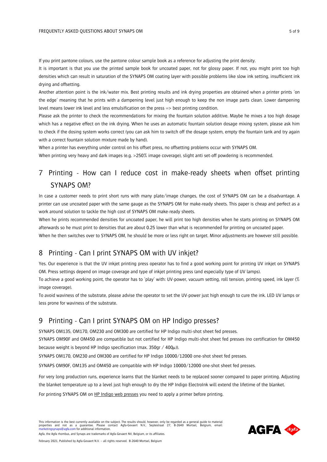If you print pantone colours, use the pantone colour sample book as a reference for adjusting the print density.

It is important is that you use the printed sample book for uncoated paper, not for glossy paper. If not, you might print too high densities which can result in saturation of the SYNAPS OM coating layer with possible problems like slow ink setting, insufficient ink drying and offsetting.

Another attention point is the ink/water mix. Best printing results and ink drying properties are obtained when a printer prints 'on the edge' meaning that he prints with a dampening level just high enough to keep the non image parts clean. Lower dampening level means lower ink level and less emulsification on the press => best printing condition.

Please ask the printer to check the recommendations for mixing the fountain solution additive. Maybe he mixes a too high dosage which has a negative effect on the ink drying. When he uses an automatic fountain solution dosage mixing system, please ask him to check if the dosing system works correct (you can ask him to switch off the dosage system, empty the fountain tank and try again with a correct fountain solution mixture made by hand).

When a printer has everything under control on his offset press, no offsetting problems occur with SYNAPS OM.

When printing very heavy and dark images (e.g. >250% image coverage), slight anti set-off powdering is recommended.

# <span id="page-4-0"></span>7 Printing - How can I reduce cost in make-ready sheets when offset printing SYNAPS OM?

In case a customer needs to print short runs with many plate/image changes, the cost of SYNAPS OM can be a disadvantage. A printer can use uncoated paper with the same gauge as the SYNAPS OM for make-ready sheets. This paper is cheap and perfect as a work around solution to tackle the high cost of SYNAPS OM make-ready sheets.

When he prints recommended densities for uncoated paper, he will print too high densities when he starts printing on SYNAPS OM afterwards so he must print to densities that are about 0.25 lower than what is recommended for printing on uncoated paper.

When he then switches over to SYNAPS OM, he should be more or less right on target. Minor adjustments are however still possible.

# <span id="page-4-1"></span>8 Printing - Can I print SYNAPS OM with UV inkjet?

Yes. Our experience is that the UV inkjet printing press operator has to find a good working point for printing UV inkjet on SYNAPS OM. Press settings depend on image coverage and type of inkjet printing press (and especially type of UV lamps).

To achieve a good working point, the operator has to 'play' with: UV-power, vacuum setting, roll tension, printing speed, ink layer (% image coverage).

To avoid waviness of the substrate, please advise the operator to set the UV-power just high enough to cure the ink. LED UV lamps or less prone for waviness of the substrate.

#### <span id="page-4-2"></span>9 Printing - Can I print SYNAPS OM on HP Indigo presses?

SYNAPS OM135, OM170, OM230 and OM300 are certified for HP Indigo multi-shot sheet fed presses.

SYNAPS OM90F and OM450 are compatible but not certified for HP Indigo multi-shot sheet fed presses (no certification for OM450 because weight is beyond HP Indigo specification (max. 350gr /  $400\mu$ )).

SYNAPS OM170, OM230 and OM300 are certified for HP Indigo 10000/12000 one-shot sheet fed presses.

SYNAPS OM90F, OM135 and OM450 are compatible with HP Indigo 10000/12000 one-shot sheet fed presses.

For very long production runs, experience learns that the blanket needs to be replaced sooner compared to paper printing. Adjusting the blanket temperature up to a level just high enough to dry the HP Indigo ElectroInk will extend the lifetime of the blanket.

For printing SYNAPS OM on HP Indigo web presses you need to apply a primer before printing.

This information is the best currently available on the subject. The results should, however, only be regarded as a general guide to material properties and not as a guarantee. Please contact Agfa-Gevaert N.V., Septestraat 27, B-2640 Mortsel, Belgium, email:<br>[marketingsynaps@agfa.com](mailto:marketingsynaps@agfa.com) for additional information.



Agfa, the Agfa rhombus, and Synaps are trademarks of Agfa-Gevaert NV, Belgium, or its affiliates. February 2021, Published by Agfa-Gevaert N.V. – all rights reserved. B-2640 Mortsel, Belgium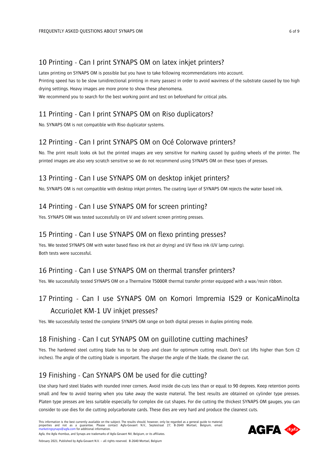#### <span id="page-5-0"></span>10 Printing - Can I print SYNAPS OM on latex inkjet printers?

Latex printing on SYNAPS OM is possible but you have to take following recommendations into account. Printing speed has to be slow (unidirectional printing in many passes) in order to avoid waviness of the substrate caused by too high drying settings. Heavy images are more prone to show these phenomena. We recommend you to search for the best working point and test on beforehand for critical jobs.

# <span id="page-5-1"></span>11 Printing - Can I print SYNAPS OM on Riso duplicators?

No. SYNAPS OM is not compatible with Riso duplicator systems.

# <span id="page-5-2"></span>12 Printing - Can I print SYNAPS OM on Océ Colorwave printers?

No. The print result looks ok but the printed images are very sensitive for marking caused by guiding wheels of the printer. The printed images are also very scratch sensitive so we do not recommend using SYNAPS OM on these types of presses.

# <span id="page-5-3"></span>13 Printing - Can I use SYNAPS OM on desktop inkjet printers?

No, SYNAPS OM is not compatible with desktop inkjet printers. The coating layer of SYNAPS OM rejects the water based ink.

# <span id="page-5-4"></span>14 Printing - Can I use SYNAPS OM for screen printing?

Yes. SYNAPS OM was tested successfully on UV and solvent screen printing presses.

# <span id="page-5-5"></span>15 Printing - Can I use SYNAPS OM on flexo printing presses?

Yes. We tested SYNAPS OM with water based flexo ink (hot air drying) and UV flexo ink (UV lamp curing). Both tests were successful.

# <span id="page-5-6"></span>16 Printing - Can I use SYNAPS OM on thermal transfer printers?

Yes. We successfully tested SYNAPS OM on a Thermaline T5000R thermal transfer printer equipped with a wax/resin ribbon.

# <span id="page-5-7"></span>17 Printing - Can I use SYNAPS OM on Komori Impremia IS29 or KonicaMinolta AccurioJet KM-1 UV inkjet presses?

Yes. We successfully tested the complete SYNAPS OM range on both digital presses in duplex printing mode.

# <span id="page-5-8"></span>18 Finishing - Can I cut SYNAPS OM on guillotine cutting machines?

Yes. The hardened steel cutting blade has to be sharp and clean for optimum cutting result. Don't cut lifts higher than 5cm (2 inches). The angle of the cutting blade is important. The sharper the angle of the blade, the cleaner the cut.

# <span id="page-5-9"></span>19 Finishing - Can SYNAPS OM be used for die cutting?

Use sharp hard steel blades with rounded inner corners. Avoid inside die-cuts less than or equal to 90 degrees. Keep retention points small and few to avoid tearing when you take away the waste material. The best results are obtained on cylinder type presses. Platen type presses are less suitable especially for complex die cut shapes. For die cutting the thickest SYNAPS OM gauges, you can consider to use dies for die cutting polycarbonate cards. These dies are very hard and produce the cleanest cuts.

This information is the best currently available on the subject. The results should, however, only be regarded as a general guide to material properties and not as a guarantee. Please contact Agfa-Gevaert N.V., Septestraat 27, B-2640 Mortsel, Belgium, email:<br>[marketingsynaps@agfa.com](mailto:marketingsynaps@agfa.com) for additional information. Agfa, the Agfa rhombus, and Synaps are trademarks of Agfa-Gevaert NV, Belgium, or its affiliates.

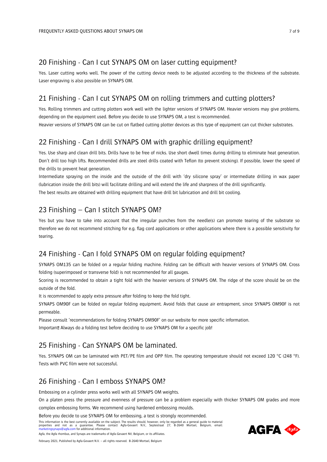#### <span id="page-6-0"></span>20 Finishing - Can I cut SYNAPS OM on laser cutting equipment?

Yes. Laser cutting works well. The power of the cutting device needs to be adjusted according to the thickness of the substrate. Laser engraving is also possible on SYNAPS OM.

# <span id="page-6-1"></span>21 Finishing - Can I cut SYNAPS OM on rolling trimmers and cutting plotters?

Yes. Rolling trimmers and cutting plotters work well with the lighter versions of SYNAPS OM. Heavier versions may give problems, depending on the equipment used. Before you decide to use SYNAPS OM, a test is recommended.

Heavier versions of SYNAPS OM can be cut on flatbed cutting plotter devices as this type of equipment can cut thicker substrates.

# <span id="page-6-2"></span>22 Finishing - Can I drill SYNAPS OM with graphic drilling equipment?

Yes. Use sharp and clean drill bits. Drills have to be free of nicks. Use short dwell times during drilling to eliminate heat generation. Don't drill too high lifts. Recommended drills are steel drills coated with Teflon (to prevent sticking). If possible, lower the speed of the drills to prevent heat generation.

Intermediate spraying on the inside and the outside of the drill with 'dry silicone spray' or intermediate drilling in wax paper (lubrication inside the drill bits) will facilitate drilling and will extend the life and sharpness of the drill significantly. The best results are obtained with drilling equipment that have drill bit lubrication and drill bit cooling.

# <span id="page-6-3"></span>23 Finishing – Can I stitch SYNAPS OM?

Yes but you have to take into account that the irregular punches from the needle(s) can promote tearing of the substrate so therefore we do not recommend stitching for e.g. flag cord applications or other applications where there is a possible sensitivity for tearing.

# <span id="page-6-4"></span>24 Finishing - Can I fold SYNAPS OM on regular folding equipment?

SYNAPS OM135 can be folded on a regular folding machine. Folding can be difficult with heavier versions of SYNAPS OM. Cross folding (superimposed or transverse fold) is not recommended for all gauges.

Scoring is recommended to obtain a tight fold with the heavier versions of SYNAPS OM. The ridge of the score should be on the outside of the fold.

It is recommended to apply extra pressure after folding to keep the fold tight.

SYNAPS OM90F can be folded on regular folding equipment. Avoid folds that cause air entrapment, since SYNAPS OM90F is not permeable.

Please consult 'recommendations for folding SYNAPS OM90F' on our website for more specific information. Important! Always do a folding test before deciding to use SYNAPS OM for a specific job!

# <span id="page-6-5"></span>25 Finishing - Can SYNAPS OM be laminated.

Yes. SYNAPS OM can be laminated with PET/PE film and OPP film. The operating temperature should not exceed 120 °C (248 °F). Tests with PVC film were not successful.

# <span id="page-6-6"></span>26 Finishing - Can I emboss SYNAPS OM?

Embossing on a cylinder press works well with all SYNAPS OM weights.

On a platen press the pressure and evenness of pressure can be a problem especially with thicker SYNAPS OM grades and more

complex embossing forms. We recommend using hardened embossing moulds.

Before you decide to use SYNAPS OM for embossing, a test is strongly recommended.

This information is the best currently available on the subject. The results should, however, only be regarded as a general guide to material properties and not as a guarantee. Please contact Agfa-Gevaert N.V., Septestraat 27, B-2640 Mortsel, Belgium, email:<br>[marketingsynaps@agfa.com](mailto:marketingsynaps@agfa.com) for additional information.

Agfa, the Agfa rhombus, and Synaps are trademarks of Agfa-Gevaert NV, Belgium, or its affiliates.

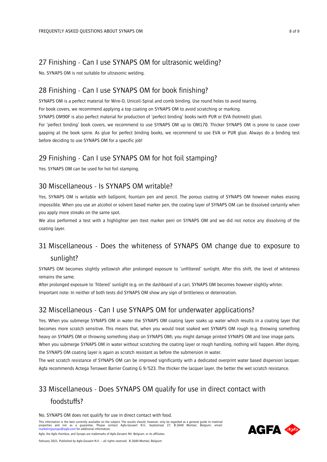## <span id="page-7-0"></span>27 Finishing - Can I use SYNAPS OM for ultrasonic welding?

No, SYNAPS OM is not suitable for ultrasonic welding.

## <span id="page-7-1"></span>28 Finishing - Can I use SYNAPS OM for book finishing?

SYNAPS OM is a perfect material for Wire-O, Unicoil-Spiral and comb binding. Use round holes to avoid tearing. For book covers, we recommend applying a top coating on SYNAPS OM to avoid scratching or marking. SYNAPS OM90F is also perfect material for production of 'perfect binding' books (with PUR or EVA (hotmelt) glue). For 'perfect binding' book covers, we recommend to use SYNAPS OM up to OM170. Thicker SYNAPS OM is prone to cause cover gapping at the book spine. As glue for perfect binding books, we recommend to use EVA or PUR glue. Always do a binding test before deciding to use SYNAPS OM for a specific job!

# <span id="page-7-2"></span>29 Finishing - Can I use SYNAPS OM for hot foil stamping?

Yes. SYNAPS OM can be used for hot foil stamping.

# <span id="page-7-3"></span>30 Miscellaneous - Is SYNAPS OM writable?

Yes, SYNAPS OM is writable with ballpoint, fountain pen and pencil. The porous coating of SYNAPS OM however makes erasing impossible. When you use an alcohol or solvent based marker pen, the coating layer of SYNAPS OM can be dissolved certainly when you apply more streaks on the same spot.

We also performed a test with a highlighter pen (text marker pen) on SYNAPS OM and we did not notice any dissolving of the coating layer.

# <span id="page-7-4"></span>31 Miscellaneous - Does the whiteness of SYNAPS OM change due to exposure to sunlight?

SYNAPS OM becomes slightly yellowish after prolonged exposure to 'unfiltered' sunlight. After this shift, the level of whiteness remains the same.

After prolonged exposure to 'filtered' sunlight (e.g. on the dashboard of a car), SYNAPS OM becomes however slightly whiter. Important note: In neither of both tests did SYNAPS OM show any sign of brittleness or deterioration.

# <span id="page-7-5"></span>32 Miscellaneous - Can I use SYNAPS OM for underwater applications?

Yes. When you submerge SYNAPS OM in water the SYNAPS OM coating layer soaks up water which results in a coating layer that becomes more scratch sensitive. This means that, when you would treat soaked wet SYNAPS OM rough (e.g. throwing something heavy on SYNAPS OM or throwing something sharp on SYNAPS OM), you might damage printed SYNAPS OM and lose image parts. When you submerge SYNAPS OM in water without scratching the coating layer or rough handling, nothing will happen. After drying, the SYNAPS OM coating layer is again as scratch resistant as before the submersion in water.

The wet scratch resistance of SYNAPS OM can be improved significantly with a dedicated overprint water based dispersion lacquer. Agfa recommends Actega Terrawet Barrier Coating G 9/523. The thicker the lacquer layer, the better the wet scratch resistance.

# <span id="page-7-6"></span>33 Miscellaneous - Does SYNAPS OM qualify for use in direct contact with foodstuffs?

No. SYNAPS OM does not qualify for use in direct contact with food.

This information is the best currently available on the subject. The results should, however, only be regarded as a general guide to material properties and not as a guarantee. Please contact Agfa-Gevaert N.V., Septestraat 27, B-2640 Mortsel, Belgium, email:<br>[marketingsynaps@agfa.com](mailto:marketingsynaps@agfa.com) for additional information. Agfa, the Agfa rhombus, and Synaps are trademarks of Agfa-Gevaert NV, Belgium, or its affiliates.